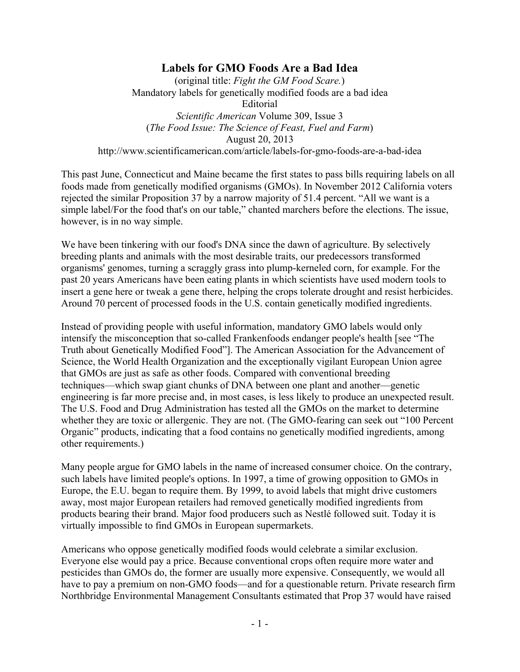## **Labels for GMO Foods Are a Bad Idea**

(original title: *Fight the GM Food Scare.*) Mandatory labels for genetically modified foods are a bad idea Editorial *Scientific American* Volume 309, Issue 3 (*The Food Issue: The Science of Feast, Fuel and Farm*) August 20, 2013 http://www.scientificamerican.com/article/labels-for-gmo-foods-are-a-bad-idea

This past June, Connecticut and Maine became the first states to pass bills requiring labels on all foods made from genetically modified organisms (GMOs). In November 2012 California voters rejected the similar Proposition 37 by a narrow majority of 51.4 percent. "All we want is a simple label/For the food that's on our table," chanted marchers before the elections. The issue, however, is in no way simple.

We have been tinkering with our food's DNA since the dawn of agriculture. By selectively breeding plants and animals with the most desirable traits, our predecessors transformed organisms' genomes, turning a scraggly grass into plump-kerneled corn, for example. For the past 20 years Americans have been eating plants in which scientists have used modern tools to insert a gene here or tweak a gene there, helping the crops tolerate drought and resist herbicides. Around 70 percent of processed foods in the U.S. contain genetically modified ingredients.

Instead of providing people with useful information, mandatory GMO labels would only intensify the misconception that so-called Frankenfoods endanger people's health [see "The Truth about Genetically Modified Food"]. The American Association for the Advancement of Science, the World Health Organization and the exceptionally vigilant European Union agree that GMOs are just as safe as other foods. Compared with conventional breeding techniques—which swap giant chunks of DNA between one plant and another—genetic engineering is far more precise and, in most cases, is less likely to produce an unexpected result. The U.S. Food and Drug Administration has tested all the GMOs on the market to determine whether they are toxic or allergenic. They are not. (The GMO-fearing can seek out "100 Percent Organic" products, indicating that a food contains no genetically modified ingredients, among other requirements.)

Many people argue for GMO labels in the name of increased consumer choice. On the contrary, such labels have limited people's options. In 1997, a time of growing opposition to GMOs in Europe, the E.U. began to require them. By 1999, to avoid labels that might drive customers away, most major European retailers had removed genetically modified ingredients from products bearing their brand. Major food producers such as Nestlé followed suit. Today it is virtually impossible to find GMOs in European supermarkets.

Americans who oppose genetically modified foods would celebrate a similar exclusion. Everyone else would pay a price. Because conventional crops often require more water and pesticides than GMOs do, the former are usually more expensive. Consequently, we would all have to pay a premium on non-GMO foods—and for a questionable return. Private research firm Northbridge Environmental Management Consultants estimated that Prop 37 would have raised